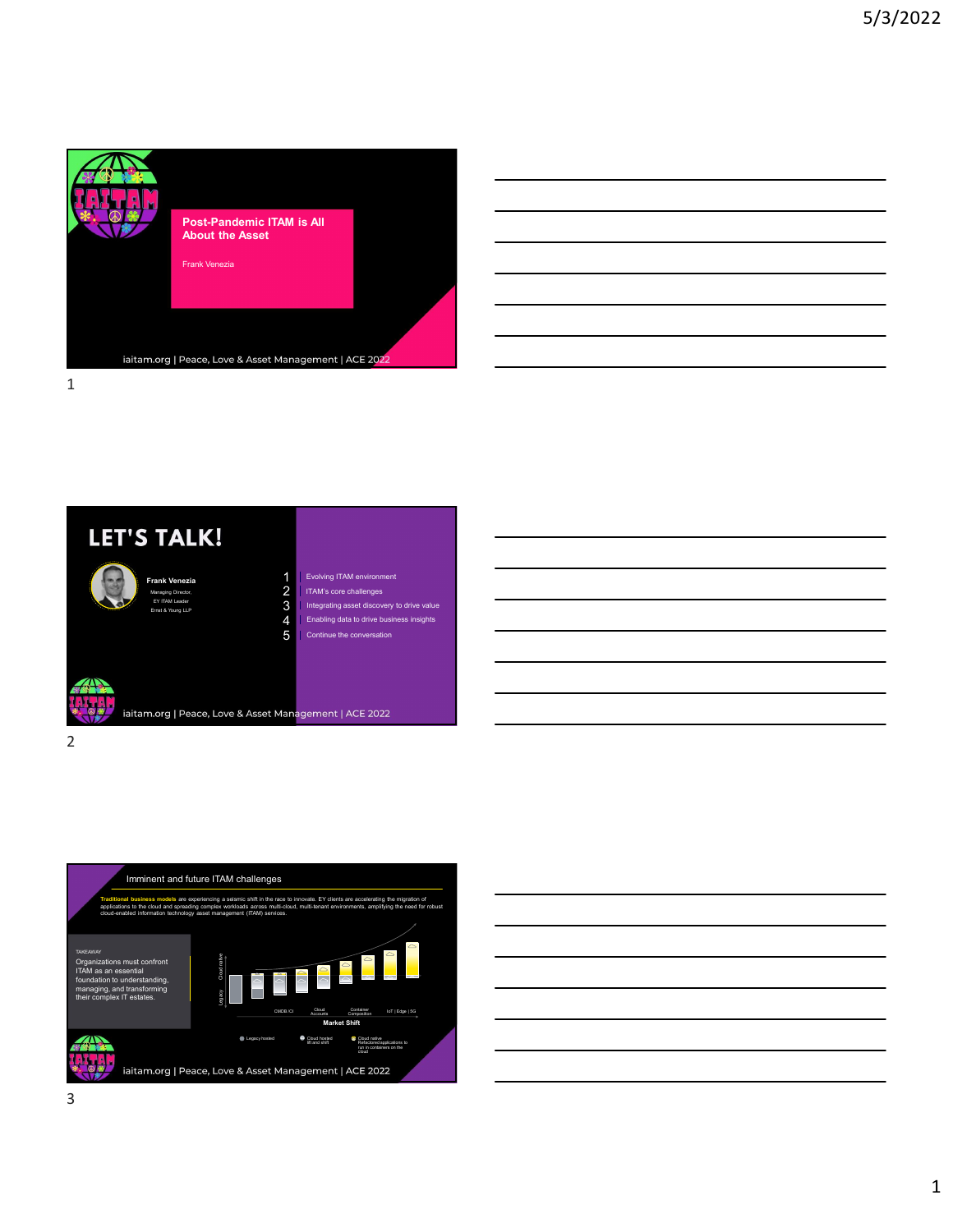









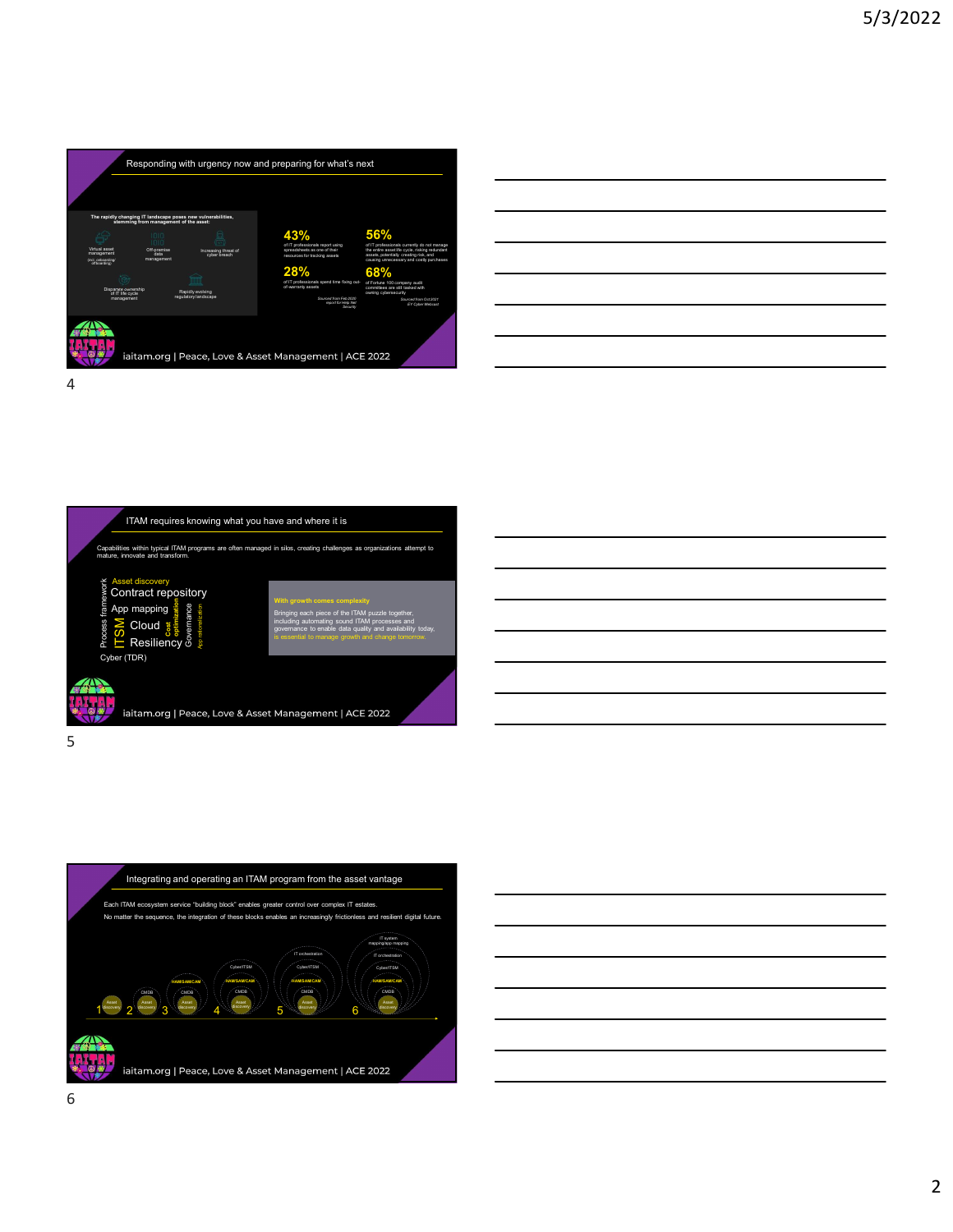









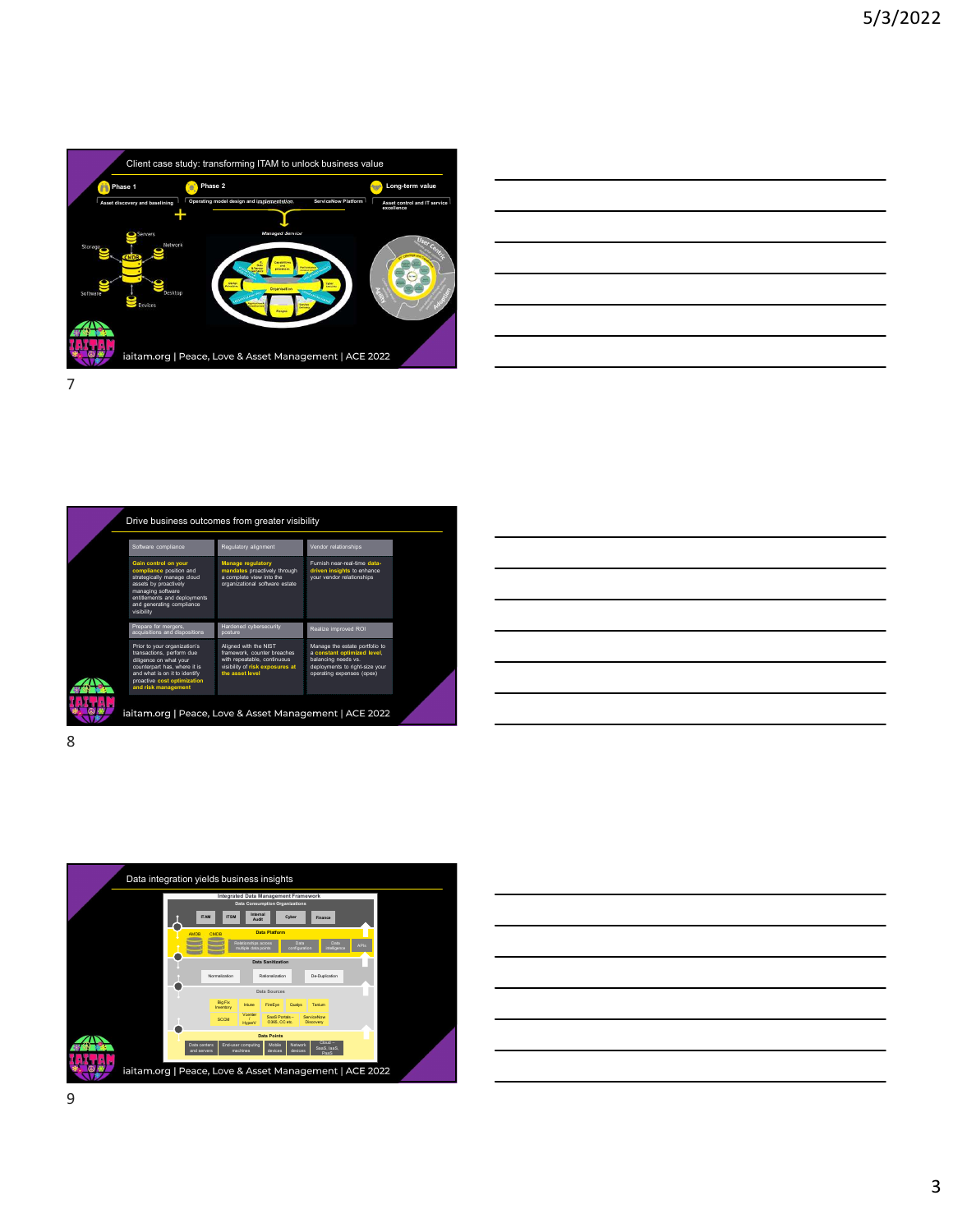

| Long-term value                                       |  |  |
|-------------------------------------------------------|--|--|
| sset control and IT service <sup> </sup><br>«cellence |  |  |
|                                                       |  |  |
| m                                                     |  |  |
|                                                       |  |  |
|                                                       |  |  |
|                                                       |  |  |
|                                                       |  |  |
|                                                       |  |  |
|                                                       |  |  |
|                                                       |  |  |
|                                                       |  |  |

| Software | Desktop<br>Devices                                                                  | iaitam.org   Peace, Love & Asset Management   ACE 2022                                        |                                                                                      |  |  |
|----------|-------------------------------------------------------------------------------------|-----------------------------------------------------------------------------------------------|--------------------------------------------------------------------------------------|--|--|
| 7        |                                                                                     |                                                                                               |                                                                                      |  |  |
|          |                                                                                     |                                                                                               |                                                                                      |  |  |
|          |                                                                                     |                                                                                               |                                                                                      |  |  |
|          |                                                                                     |                                                                                               |                                                                                      |  |  |
|          |                                                                                     |                                                                                               |                                                                                      |  |  |
|          |                                                                                     |                                                                                               |                                                                                      |  |  |
|          |                                                                                     |                                                                                               |                                                                                      |  |  |
|          |                                                                                     | Drive business outcomes from greater visibility                                               |                                                                                      |  |  |
|          | Software compliance                                                                 | Regulatory alignment                                                                          | Vendor relationships                                                                 |  |  |
|          | Gain control on your<br>compliance position and                                     | Manage regulatory<br>mandates proactively through                                             | Furnish near-real-time data-<br>driven insights to enhance                           |  |  |
|          | strategically manage cloud<br>assets by proactively                                 | a complete view into the<br>organizational software estate                                    | your vendor relationships                                                            |  |  |
|          | managing software<br>entitlements and deployments<br>and generating compliance      |                                                                                               |                                                                                      |  |  |
|          | visibility<br>Prepare for mergers,<br>acquisitions and dispositions                 | Hardened cybersecurity<br>posture                                                             | Realize improved ROI                                                                 |  |  |
|          | Prior to your organization's                                                        | Aligned with the NIST                                                                         | Manage the estate portfolio to                                                       |  |  |
|          | transactions, perform due<br>diligence on what your<br>counterpart has, where it is | framework, counter breaches<br>with repeatable, continuous<br>visibility of risk exposures at | a constant optimized level,<br>balancing needs vs.<br>deployments to right-size your |  |  |
|          | and what is on it to identify<br>proactive cost optimization                        | the asset level                                                                               | operating expenses (opex)                                                            |  |  |
|          |                                                                                     |                                                                                               |                                                                                      |  |  |
|          | and risk management                                                                 |                                                                                               |                                                                                      |  |  |
|          |                                                                                     | iaitam.org   Peace, Love & Asset Management   ACE 2022                                        |                                                                                      |  |  |
| 8        |                                                                                     |                                                                                               |                                                                                      |  |  |

| <u> 1989 - Andrea Santa Alemania, amerikana amerikana amerikana amerikana amerikana amerikana amerikana amerikan</u>  |  |  |
|-----------------------------------------------------------------------------------------------------------------------|--|--|
| <u> 1989 - Jan Samuel Barbara, margaret e seu a component de la propia de la propia de la propia de la propia de</u>  |  |  |
| <u> 1989 - Andrea Andrew Maria (h. 1989).</u>                                                                         |  |  |
|                                                                                                                       |  |  |
| <u> 1989 - Jan Samuel Barbara, margaret e a seu a componente de la componentación de la componentación de la comp</u> |  |  |
| <u> 1989 - Johann Barn, amerikansk politiker (d. 1989)</u>                                                            |  |  |
| <u> 1989 - Andrea Andrew Maria (h. 1989).</u>                                                                         |  |  |
|                                                                                                                       |  |  |